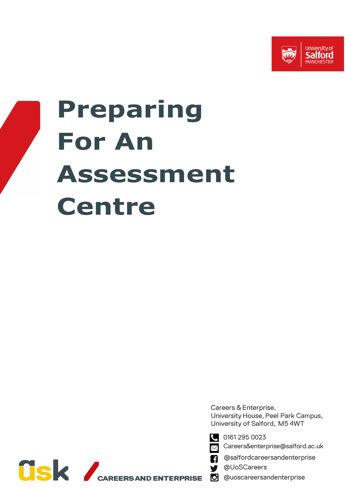



Careers & Enterprise, University House, Peel Park Campus, University of Salford, M5 4WT



0161 295 0023

Careers&enterprise@salford.ac.uk Χ

@salfordcareersandenterprise

@UoSCareers

@uoscareersandenterprise

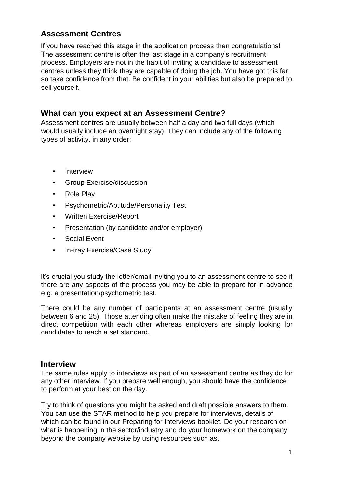## **Assessment Centres**

If you have reached this stage in the application process then congratulations! The assessment centre is often the last stage in a company's recruitment process. Employers are not in the habit of inviting a candidate to assessment centres unless they think they are capable of doing the job. You have got this far, so take confidence from that. Be confident in your abilities but also be prepared to sell yourself.

### **What can you expect at an Assessment Centre?**

Assessment centres are usually between half a day and two full days (which would usually include an overnight stay). They can include any of the following types of activity, in any order:

- Interview
- Group Exercise/discussion
- Role Play
- Psychometric/Aptitude/Personality Test
- Written Exercise/Report
- Presentation (by candidate and/or employer)
- Social Event
- In-tray Exercise/Case Study

It's crucial you study the letter/email inviting you to an assessment centre to see if there are any aspects of the process you may be able to prepare for in advance e.g. a presentation/psychometric test.

There could be any number of participants at an assessment centre (usually between 6 and 25). Those attending often make the mistake of feeling they are in direct competition with each other whereas employers are simply looking for candidates to reach a set standard.

#### **Interview**

The same rules apply to interviews as part of an assessment centre as they do for any other interview. If you prepare well enough, you should have the confidence to perform at your best on the day.

Try to think of questions you might be asked and draft possible answers to them. You can use the STAR method to help you prepare for interviews, details of which can be found in our Preparing for Interview[s](https://www.salford.ac.uk/askus/work-and-careers/career-advice/resources/accordion/career-guides) booklet. Do your research on what is happening in the sector/industry and do your homework on the company beyond the company website by using resources such as,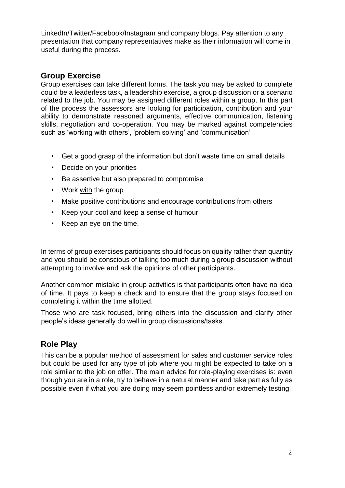LinkedIn/Twitter/Facebook/Instagram and company blogs. Pay attention to any presentation that company representatives make as their information will come in useful during the process.

### **Group Exercise**

Group exercises can take different forms. The task you may be asked to complete could be a leaderless task, a leadership exercise, a group discussion or a scenario related to the job. You may be assigned different roles within a group. In this part of the process the assessors are looking for participation, contribution and your ability to demonstrate reasoned arguments, effective communication, listening skills, negotiation and co-operation. You may be marked against competencies such as 'working with others', 'problem solving' and 'communication'

- Get a good grasp of the information but don't waste time on small details
- Decide on your priorities
- Be assertive but also prepared to compromise
- Work with the group
- Make positive contributions and encourage contributions from others
- Keep your cool and keep a sense of humour
- Keep an eye on the time.

In terms of group exercises participants should focus on quality rather than quantity and you should be conscious of talking too much during a group discussion without attempting to involve and ask the opinions of other participants.

Another common mistake in group activities is that participants often have no idea of time. It pays to keep a check and to ensure that the group stays focused on completing it within the time allotted.

Those who are task focused, bring others into the discussion and clarify other people's ideas generally do well in group discussions/tasks.

### **Role Play**

This can be a popular method of assessment for sales and customer service roles but could be used for any type of job where you might be expected to take on a role similar to the job on offer. The main advice for role-playing exercises is: even though you are in a role, try to behave in a natural manner and take part as fully as possible even if what you are doing may seem pointless and/or extremely testing.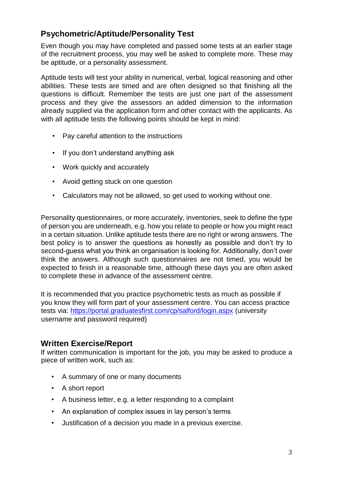# **Psychometric/Aptitude/Personality Test**

Even though you may have completed and passed some tests at an earlier stage of the recruitment process, you may well be asked to complete more. These may be aptitude, or a personality assessment.

Aptitude tests will test your ability in numerical, verbal, logical reasoning and other abilities. These tests are timed and are often designed so that finishing all the questions is difficult. Remember the tests are just one part of the assessment process and they give the assessors an added dimension to the information already supplied via the application form and other contact with the applicants. As with all aptitude tests the following points should be kept in mind:

- Pay careful attention to the instructions
- If you don't understand anything ask
- Work quickly and accurately
- Avoid getting stuck on one question
- Calculators may not be allowed, so get used to working without one.

Personality questionnaires, or more accurately, inventories, seek to define the type of person you are underneath, e.g. how you relate to people or how you might react in a certain situation. Unlike aptitude tests there are no right or wrong answers. The best policy is to answer the questions as honestly as possible and don't try to second-guess what you think an organisation is looking for. Additionally, don't over think the answers. Although such questionnaires are not timed, you would be expected to finish in a reasonable time, although these days you are often asked to complete these in advance of the assessment centre.

It is recommended that you practice psychometric tests as much as possible if you know they will form part of your assessment centre. You can access practice tests via:<https://portal.graduatesfirst.com/cp/salford/login.aspx> (university username and password required)

### **Written Exercise/Report**

If written communication is important for the job, you may be asked to produce a piece of written work, such as:

- A summary of one or many documents
- A short report
- A business letter, e.g. a letter responding to a complaint
- An explanation of complex issues in lay person's terms
- Justification of a decision you made in a previous exercise.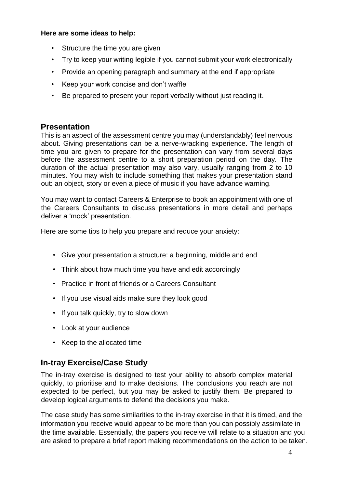#### **Here are some ideas to help:**

- Structure the time you are given
- Try to keep your writing legible if you cannot submit your work electronically
- Provide an opening paragraph and summary at the end if appropriate
- Keep your work concise and don't waffle
- Be prepared to present your report verbally without just reading it.

## **Presentation**

This is an aspect of the assessment centre you may (understandably) feel nervous about. Giving presentations can be a nerve-wracking experience. The length of time you are given to prepare for the presentation can vary from several days before the assessment centre to a short preparation period on the day. The duration of the actual presentation may also vary, usually ranging from 2 to 10 minutes. You may wish to include something that makes your presentation stand out: an object, story or even a piece of music if you have advance warning.

You may want to contact Careers & Enterprise to book an appointment with one of the Careers Consultants to discuss presentations in more detail and perhaps deliver a 'mock' presentation.

Here are some tips to help you prepare and reduce your anxiety:

- Give your presentation a structure: a beginning, middle and end
- Think about how much time you have and edit accordingly
- Practice in front of friends or a Careers Consultant
- If you use visual aids make sure they look good
- If you talk quickly, try to slow down
- Look at your audience
- Keep to the allocated time

### **In-tray Exercise/Case Study**

The in-tray exercise is designed to test your ability to absorb complex material quickly, to prioritise and to make decisions. The conclusions you reach are not expected to be perfect, but you may be asked to justify them. Be prepared to develop logical arguments to defend the decisions you make.

The case study has some similarities to the in-tray exercise in that it is timed, and the information you receive would appear to be more than you can possibly assimilate in the time available. Essentially, the papers you receive will relate to a situation and you are asked to prepare a brief report making recommendations on the action to be taken.